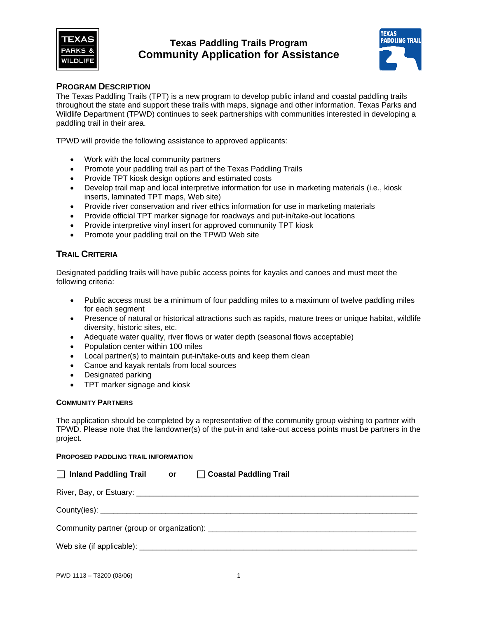

# **Texas Paddling Trails Program Community Application for Assistance**



## **PROGRAM DESCRIPTION**

The Texas Paddling Trails (TPT) is a new program to develop public inland and coastal paddling trails throughout the state and support these trails with maps, signage and other information. Texas Parks and Wildlife Department (TPWD) continues to seek partnerships with communities interested in developing a paddling trail in their area.

TPWD will provide the following assistance to approved applicants:

- Work with the local community partners
- Promote your paddling trail as part of the Texas Paddling Trails
- Provide TPT kiosk design options and estimated costs
- Develop trail map and local interpretive information for use in marketing materials (i.e., kiosk inserts, laminated TPT maps, Web site)
- Provide river conservation and river ethics information for use in marketing materials
- Provide official TPT marker signage for roadways and put-in/take-out locations
- Provide interpretive vinyl insert for approved community TPT kiosk
- Promote your paddling trail on the TPWD Web site

### **TRAIL CRITERIA**

Designated paddling trails will have public access points for kayaks and canoes and must meet the following criteria:

- Public access must be a minimum of four paddling miles to a maximum of twelve paddling miles for each segment
- Presence of natural or historical attractions such as rapids, mature trees or unique habitat, wildlife diversity, historic sites, etc.
- Adequate water quality, river flows or water depth (seasonal flows acceptable)
- Population center within 100 miles
- Local partner(s) to maintain put-in/take-outs and keep them clean
- Canoe and kayak rentals from local sources
- Designated parking
- TPT marker signage and kiosk

#### **COMMUNITY PARTNERS**

The application should be completed by a representative of the community group wishing to partner with TPWD. Please note that the landowner(s) of the put-in and take-out access points must be partners in the project.

#### **PROPOSED PADDLING TRAIL INFORMATION**

| $\Box$ Inland Paddling Trail or $\Box$ Coastal Paddling Trail |  |  |  |
|---------------------------------------------------------------|--|--|--|
|                                                               |  |  |  |
|                                                               |  |  |  |
|                                                               |  |  |  |
|                                                               |  |  |  |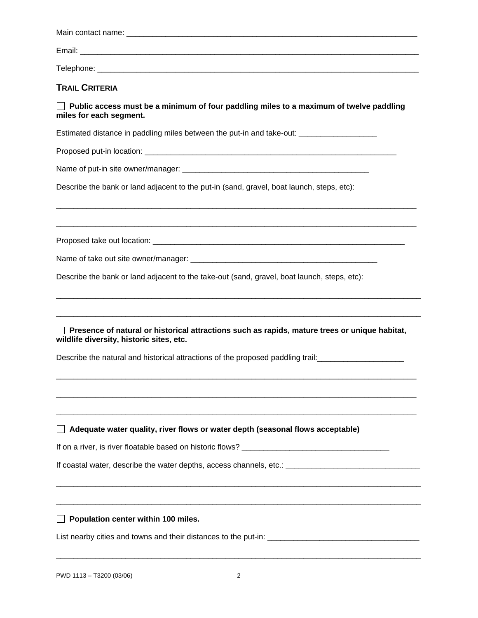| <b>TRAIL CRITERIA</b>                                                                                                                     |
|-------------------------------------------------------------------------------------------------------------------------------------------|
| $\Box$ Public access must be a minimum of four paddling miles to a maximum of twelve paddling<br>miles for each segment.                  |
| Estimated distance in paddling miles between the put-in and take-out: _________________                                                   |
|                                                                                                                                           |
|                                                                                                                                           |
| Describe the bank or land adjacent to the put-in (sand, gravel, boat launch, steps, etc):                                                 |
|                                                                                                                                           |
|                                                                                                                                           |
| Describe the bank or land adjacent to the take-out (sand, gravel, boat launch, steps, etc):                                               |
| Presence of natural or historical attractions such as rapids, mature trees or unique habitat,<br>wildlife diversity, historic sites, etc. |
| Describe the natural and historical attractions of the proposed paddling trail:                                                           |
|                                                                                                                                           |
| $\Box$ Adequate water quality, river flows or water depth (seasonal flows acceptable)                                                     |
|                                                                                                                                           |
|                                                                                                                                           |
| Population center within 100 miles.                                                                                                       |
|                                                                                                                                           |